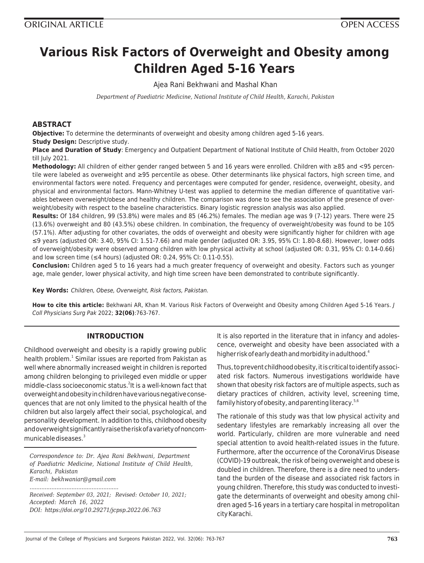# **Various Risk Factors of Overweight and Obesity among Children Aged 5-16 Years**

Ajea Rani Bekhwani and Mashal Khan

*Department of Paediatric Medicine, National Institute of Child Health, Karachi, Pakistan*

#### **ABSTRACT**

**Objective:** To determine the determinants of overweight and obesity among children aged 5-16 years. **Study Design:** Descriptive study.

**Place and Duration of Study**: Emergency and Outpatient Department of National Institute of Child Health, from October 2020 till Iulv 2021.

**Methodology:** All children of either gender ranged between 5 and 16 years were enrolled. Children with ≥85 and <95 percentile were labeled as overweight and ≥95 percentile as obese. Other determinants like physical factors, high screen time, and environmental factors were noted. Frequency and percentages were computed for gender, residence, overweight, obesity, and physical and environmental factors. Mann-Whitney U-test was applied to determine the median difference of quantitative variables between overweight/obese and healthy children. The comparison was done to see the association of the presence of overweight/obesity with respect to the baseline characteristics. Binary logistic regression analysis was also applied.

**Results:** Of 184 children, 99 (53.8%) were males and 85 (46.2%) females. The median age was 9 (7-12) years. There were 25 (13.6%) overweight and 80 (43.5%) obese children. In combination, the frequency of overweight/obesity was found to be 105 (57.1%). After adjusting for other covariates, the odds of overweight and obesity were significantly higher for children with age ≤9 years (adjusted OR: 3.40, 95% CI: 1.51-7.66) and male gender (adjusted OR: 3.95, 95% CI: 1.80-8.68). However, lower odds of overweight/obesity were observed among children with low physical activity at school (adjusted OR: 0.31, 95% CI: 0.14-0.66) and low screen time ( $\leq$ 4 hours) (adjusted OR: 0.24, 95% CI: 0.11-0.55).

**Conclusion:** Children aged 5 to 16 years had a much greater frequency of overweight and obesity. Factors such as younger age, male gender, lower physical activity, and high time screen have been demonstrated to contribute significantly.

**Key Words:** Children, Obese, Overweight, Risk factors, Pakistan.

**How to cite this article:** Bekhwani AR, Khan M. Various Risk Factors of Overweight and Obesity among Children Aged 5-16 Years. J Coll Physicians Surg Pak 2022; **32(06)**:763-767.

#### **INTRODUCTION**

Childhood overweight and obesity is a rapidly growing public health problem.<sup>1</sup> Similar issues are reported from Pakistan as well where abnormally increased weight in children is reported among children belonging to privileged even middle or upper middle-class socioeconomic status.<sup>2</sup>It is a well-known fact that overweight and obesity in children have various negative consequences that are not only limited to the physical health of the children but also largely affect their social, psychological, and personality development. In addition to this, childhood obesity and overweight significantly raise the risk of a variety of noncommunicable diseases. $^3$ 

*Correspondence to: Dr. Ajea Rani Bekhwani, Department of Paediatric Medicine, National Institute of Child Health, Karachi, Pakistan E-mail: bekhwaniar@gmail.com*

*Received: September 03, 2021; Revised: October 10, 2021; Accepted: March 16, 2022 DOI: https://doi.org/10.29271/jcpsp.2022.06.763*

*.....................................................*

It is also reported in the literature that in infancy and adolescence, overweight and obesity have been associated with a higher risk of early death and morbidity in adulthood. $^4$ 

Thus, to prevent childhood obesity, it is critical to identify associated risk factors. Numerous investigations worldwide have shown that obesity risk factors are of multiple aspects, such as dietary practices of children, activity level, screening time, family history of obesity, and parenting literacy.5,6

The rationale of this study was that low physical activity and sedentary lifestyles are remarkably increasing all over the world. Particularly, children are more vulnerable and need special attention to avoid health-related issues in the future. Furthermore, after the occurrence of the CoronaVirus Disease (COVID)-19 outbreak, the risk of being overweight and obese is doubled in children. Therefore, there is a dire need to understand the burden of the disease and associated risk factors in young children. Therefore, this study was conducted to investigate the determinants of overweight and obesity among children aged 5-16 years in a tertiary care hospital in metropolitan city Karachi.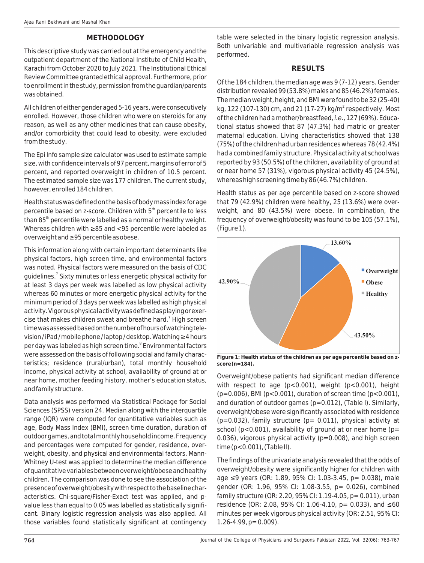### **METHODOLOGY**

This descriptive study was carried out at the emergency and the outpatient department of the National Institute of Child Health, Karachi from October 2020 to July 2021. The Institutional Ethical Review Committee granted ethical approval. Furthermore, prior to enrollment in the study, permission from the guardian/parents was obtained.

All children of either gender aged 5-16 years, were consecutively enrolled. However, those children who were on steroids for any reason, as well as any other medicines that can cause obesity, and/or comorbidity that could lead to obesity, were excluded from the study.

The Epi Info sample size calculator was used to estimate sample size, with confidence intervals of 97 percent, margins of error of 5 percent, and reported overweight in children of 10.5 percent. The estimated sample size was 177 children. The current study, however, enrolled 184 children.

Health status was defined on the basis of body mass index for age percentile based on z-score. Children with 5<sup>th</sup> percentile to less than 85<sup>th</sup> percentile were labelled as a normal or healthy weight. Whereas children with ≥85 and <95 percentile were labeled as overweight and ≥95 percentile as obese.

This information along with certain important determinants like physical factors, high screen time, and environmental factors was noted. Physical factors were measured on the basis of CDC guidelines.<sup>7</sup> Sixty minutes or less energetic physical activity for at least 3 days per week was labelled as low physical activity whereas 60 minutes or more energetic physical activity for the minimum period of 3 days per week was labelled as high physical activity. Vigorous physical activity was defined as playing or exercise that makes children sweat and breathe hard.<sup>7</sup> High screen timewas assessed based on the number of hours of watching television / iPad / mobile phone / laptop / desktop. Watching ≥4 hours per day was labeled as high screen time.<sup>8</sup> Environmental factors were assessed on the basis of following social and family characteristics; residence (rural/urban), total monthly household income, physical activity at school, availability of ground at or near home, mother feeding history, mother's education status, and family structure.

Data analysis was performed via Statistical Package for Social Sciences (SPSS) version 24. Median along with the interquartile range (IQR) were computed for quantitative variables such as age, Body Mass Index (BMI), screen time duration, duration of outdoor games, and total monthly household income. Frequency and percentages were computed for gender, residence, overweight, obesity, and physical and environmental factors. Mann-Whitney U-test was applied to determine the median difference of quantitative variables between overweight/obese and healthy children. The comparison was done to see the association of the presence of overweight/obesity with respect to the baseline characteristics. Chi-square/Fisher-Exact test was applied, and pvalue less than equal to 0.05 was labelled as statistically significant. Binary logistic regression analysis was also applied. All those variables found statistically significant at contingency

table were selected in the binary logistic regression analysis. Both univariable and multivariable regression analysis was performed.

#### **RESULTS**

Of the 184 children, the median age was 9 (7-12) years. Gender distribution revealed 99 (53.8%) males and 85 (46.2%) females. The median weight, height, and BMI were found to be 32 (25-40) kg, 122 (107-130) cm, and 21 (17-27) kg/m<sup>2</sup> respectively. Most of the children had a mother/breastfeed, i.e., 127 (69%). Educational status showed that 87 (47.3%) had matric or greater maternal education. Living characteristics showed that 138 (75%) of the children had urban residences whereas 78 (42.4%) had a combined family structure. Physical activity at school was reported by 93 (50.5%) of the children, availability of ground at or near home 57 (31%), vigorous physical activity 45 (24.5%), whereas high screening time by 86 (46.7%) children.

Health status as per age percentile based on z-score showed that 79 (42.9%) children were healthy, 25 (13.6%) were overweight, and 80 (43.5%) were obese. In combination, the frequency of overweight/obesity was found to be 105 (57.1%), (Figure 1).



**Figure 1: Health status of the children as per age percentile based on zscore (n=184).**

Overweight/obese patients had significant median difference with respect to age (p<0.001), weight (p<0.001), height (p=0.006), BMI (p<0.001), duration of screen time (p<0.001), and duration of outdoor games (p=0.012), (Table I). Similarly, overweight/obese were significantly associated with residence  $(p=0.032)$ , family structure  $(p= 0.011)$ , physical activity at school ( $p$ <0.001), availability of ground at or near home ( $p=$  $0.036$ ), vigorous physical activity ( $p=0.008$ ), and high screen time (p<0.001), (Table II).

The findings of the univariate analysis revealed that the odds of overweight/obesity were significantly higher for children with age ≤9 years (OR: 1.89, 95% CI: 1.03-3.45, p= 0.038), male gender (OR: 1.96, 95% CI: 1.08-3.55, p= 0.026), combined family structure (OR: 2.20, 95% CI: 1.19-4.05, p= 0.011), urban residence (OR: 2.08, 95% CI: 1.06-4.10, p= 0.033), and ≤60 minutes per week vigorous physical activity (OR: 2.51, 95% CI:  $1.26 - 4.99$ ,  $p = 0.009$ ).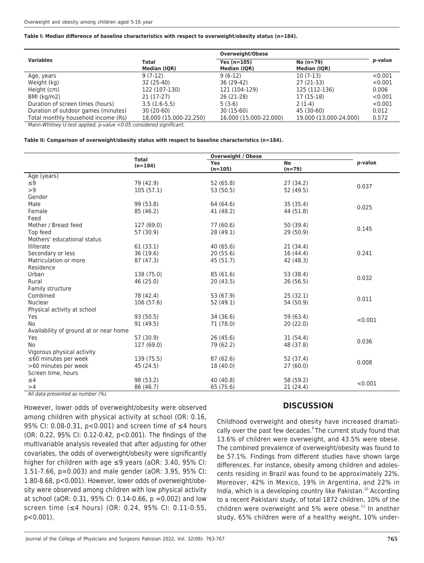#### **Table I: Median difference of baseline characteristics with respect to overweight/obesity status (n=184).**

|                                     |                              | Overweight/Obese              |                             |         |
|-------------------------------------|------------------------------|-------------------------------|-----------------------------|---------|
| <b>Variables</b>                    | <b>Total</b><br>Median (IQR) | Yes $(n=105)$<br>Median (IQR) | $No (n=79)$<br>Median (IQR) | p-value |
| Age, years                          | $9(7-12)$                    | $9(6-12)$                     | $10(7-13)$                  | < 0.001 |
| Weight (kg)                         | 32 (25-40)                   | 36 (29-42)                    | 27 (21-33)                  | < 0.001 |
| Height (cm)                         | 122 (107-130)                | 121 (104-129)                 | 125 (112-136)               | 0.006   |
| BMI (kg/m2)                         | $21(17-27)$                  | 26 (21-28)                    | 17 (15-18)                  | < 0.001 |
| Duration of screen times (hours)    | $3.5(1.6-5.5)$               | $5(3-6)$                      | $2(1-4)$                    | < 0.001 |
| Duration of outdoor games (minutes) | $30(20-60)$                  | $30(15-60)$                   | 45 (30-60)                  | 0.012   |
| Total monthly household income (Rs) | 18,000 (15,000-22,250)       | 16,000 (15,000-22,000)        | 19,000 (13,000-24,000)      | 0.572   |

Mann-Whitney U-test applied, p-value <0.05 considered significant.

#### **Table II: Comparison of overweight/obesity status with respect to baseline characteristics (n=184).**

|                                        | <b>Total</b> |            | <b>Overweight / Obese</b> |         |  |  |
|----------------------------------------|--------------|------------|---------------------------|---------|--|--|
|                                        | $(n=184)$    | <b>Yes</b> | <b>No</b>                 | p-value |  |  |
|                                        |              | $(n=105)$  | $(n=79)$                  |         |  |  |
| Age (years)                            |              |            |                           |         |  |  |
| $\leq 9$                               | 79 (42.9)    | 52 (65.8)  | 27 (34.2)                 | 0.037   |  |  |
| >9                                     | 105(57.1)    | 53 (50.5)  | 52 (49.5)                 |         |  |  |
| Gender                                 |              |            |                           |         |  |  |
| Male                                   | 99 (53.8)    | 64 (64.6)  | 35 (35.4)                 | 0.025   |  |  |
| Female                                 | 85 (46.2)    | 41 (48.2)  | 44 (51.8)                 |         |  |  |
| Feed                                   |              |            |                           |         |  |  |
| Mother / Breast feed                   | 127 (69.0)   | 77 (60.6)  | 50 (39.4)                 |         |  |  |
| Top feed                               | 57 (30.9)    | 28(49.1)   | 29(50.9)                  | 0.145   |  |  |
| Mothers' educational status            |              |            |                           |         |  |  |
| Illiterate                             | 61(33.1)     | 40(65.6)   | 21(34.4)                  |         |  |  |
| Secondary or less                      | 36 (19.6)    | 20(55.6)   | 16 (44.4)                 | 0.241   |  |  |
| Matriculation or more                  | 87 (47.3)    | 45 (51.7)  | 42 (48.3)                 |         |  |  |
| Residence                              |              |            |                           |         |  |  |
| Urban                                  | 138 (75.0)   | 85 (61.6)  | 53 (38.4)                 |         |  |  |
| Rural                                  | 46 (25.0)    | 20(43.5)   | 26(56.5)                  | 0.032   |  |  |
| Family structure                       |              |            |                           |         |  |  |
| Combined                               | 78 (42.4)    | 53 (67.9)  | 25(32.1)                  | 0.011   |  |  |
| <b>Nuclear</b>                         | 106 (57.6)   | 52 (49.1)  | 54 (50.9)                 |         |  |  |
| Physical activity at school            |              |            |                           |         |  |  |
| Yes                                    | 93 (50.5)    | 34 (36.6)  | 59 (63.4)                 |         |  |  |
| No                                     | 91 (49.5)    | 71 (78.0)  | 20(22.0)                  | < 0.001 |  |  |
| Availability of ground at or near home |              |            |                           |         |  |  |
| Yes                                    | 57 (30.9)    | 26(45.6)   | 31(54.4)                  |         |  |  |
| No                                     | 127 (69.0)   | 79 (62.2)  | 48 (37.8)                 | 0.036   |  |  |
| Vigorous physical activity             |              |            |                           |         |  |  |
| $\leq$ 60 minutes per week             | 139 (75.5)   | 87(62.6)   | 52 (37.4)                 |         |  |  |
| >60 minutes per week                   | 45 (24.5)    | 18 (40.0)  | 27(60.0)                  | 0.008   |  |  |
| Screen time, hours                     |              |            |                           |         |  |  |
| $\leq 4$                               | 98 (53.2)    | 40 (40.8)  | 58 (59.2)                 |         |  |  |
| >4                                     | 86 (46.7)    | 65 (75.6)  | 21 (24.4)                 | < 0.001 |  |  |

All data presented as number (%).

However, lower odds of overweight/obesity were observed among children with physical activity at school (OR: 0.16, 95% CI: 0.08-0.31, p<0.001) and screen time of ≤4 hours (OR: 0.22, 95% CI: 0.12-0.42, p<0.001). The findings of the multivariable analysis revealed that after adjusting for other covariates, the odds of overweight/obesity were significantly higher for children with age ≤9 years (aOR: 3.40, 95% CI: 1.51-7.66, p=0.003) and male gender (aOR: 3.95, 95% CI: 1.80-8.68, p<0.001). However, lower odds of overweight/obesity were observed among children with low physical activity at school (aOR: 0.31, 95% CI: 0.14-0.66,  $p = 0.002$ ) and low screen time (≤4 hours) (OR: 0.24, 95% CI: 0.11-0.55, p<0.001).

## **DISCUSSION**

Childhood overweight and obesity have increased dramatically over the past few decades. $9$ The current study found that 13.6% of children were overweight, and 43.5% were obese. The combined prevalence of overweight/obesity was found to be 57.1%. Findings from different studies have shown large differences. For instance, obesity among children and adolescents residing in Brazil was found to be approximately 22%. Moreover, 42% in Mexico, 19% in Argentina, and 22% in India, which is a developing country like Pakistan. $^{10}$  According to a recent Pakistani study, of total 1872 children, 10% of the children were overweight and 5% were obese. $^{11}$  In another study, 65% children were of a healthy weight, 10% under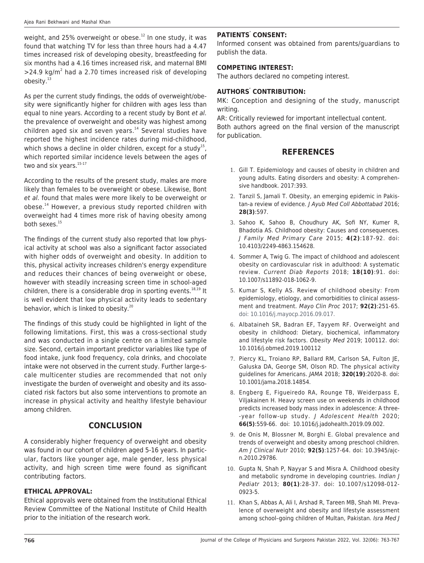weight, and 25% overweight or obese.<sup>12</sup> In one study, it was found that watching TV for less than three hours had a 4.47 times increased risk of developing obesity, breastfeeding for six months had a 4.16 times increased risk, and maternal BMI  $>$ 24.9 kg/m<sup>2</sup> had a 2.70 times increased risk of developing obesity.<sup>13</sup>

As per the current study findings, the odds of overweight/obesity were significantly higher for children with ages less than equal to nine years. According to a recent study by Bont et al. the prevalence of overweight and obesity was highest among children aged six and seven years. $14$  Several studies have reported the highest incidence rates during mid-childhood, which shows a decline in older children, except for a study<sup>15</sup>, which reported similar incidence levels between the ages of two and six years.<sup>15-17</sup>

According to the results of the present study, males are more likely than females to be overweight or obese. Likewise, Bont et al. found that males were more likely to be overweight or obese.<sup>14</sup> However, a previous study reported children with overweight had 4 times more risk of having obesity among both sexes.<sup>15</sup>

The findings of the current study also reported that low physical activity at school was also a significant factor associated with higher odds of overweight and obesity. In addition to this, physical activity increases children's energy expenditure and reduces their chances of being overweight or obese, however with steadily increasing screen time in school-aged children, there is a considerable drop in sporting events. $18,19$  It is well evident that low physical activity leads to sedentary behavior, which is linked to obesity.<sup>20</sup>

The findings of this study could be highlighted in light of the following limitations. First, this was a cross-sectional study and was conducted in a single centre on a limited sample size. Second, certain important predictor variables like type of food intake, junk food frequency, cola drinks, and chocolate intake were not observed in the current study. Further large-scale multicenter studies are recommended that not only investigate the burden of overweight and obesity and its associated risk factors but also some interventions to promote an increase in physical activity and healthy lifestyle behaviour among children.

## **CONCLUSION**

A considerably higher frequency of overweight and obesity was found in our cohort of children aged 5-16 years. In particular, factors like younger age, male gender, less physical activity, and high screen time were found as significant contributing factors.

#### **ETHICAL APPROVAL:**

Ethical approvals were obtained from the Institutional Ethical Review Committee of the National Institute of Child Health prior to the initiation of the research work.

#### **PATIENTS' CONSENT:**

Informed consent was obtained from parents/guardians to publish the data.

#### **COMPETING INTEREST:**

The authors declared no competing interest.

### **AUTHORS' CONTRIBUTION:**

MK: Conception and designing of the study, manuscript writing.

AR: Critically reviewed for important intellectual content.

Both authors agreed on the final version of the manuscript for publication.

# **REFERENCES**

- 1. Gill T. Epidemiology and causes of obesity in children and young adults. Eating disorders and obesity: A comprehensive handbook. 2017:393.
- 2. Tanzil S, Jamali T. Obesity, an emerging epidemic in Pakistan-a review of evidence. J Ayub Med Coll Abbottabad 2016; **28(3)**:597.
- 3. Sahoo K, Sahoo B, Choudhury AK, Sofi NY, Kumer R, Bhadotia AS. Childhood obesity: Causes and consequences. J Family Med Primary Care 2015; **4(2)**:187-92. doi: 10.4103/2249-4863.154628.
- 4. Sommer A, Twig G. The impact of childhood and adolescent obesity on cardiovascular risk in adulthood: A systematic review. Current Diab Reports 2018; **18(10)**:91. doi: 10.1007/s11892-018-1062-9.
- 5. Kumar S, Kelly AS. Review of childhood obesity: From epidemiology, etiology, and comorbidities to clinical assessment and treatment. Mayo Clin Proc 2017; **92(2)**:251-65. doi: 10.1016/j.mayocp.2016.09.017.
- 6. Albataineh SR, Badran EF, Tayyem RF. Overweight and obesity in childhood: Dietary, biochemical, inflammatory and lifestyle risk factors. Obesity Med 2019; 100112. doi: 10.1016/j.obmed.2019.100112
- 7. Piercy KL, Troiano RP, Ballard RM, Carlson SA, Fulton JE, Galuska DA, George SM, Olson RD. The physical activity guidelines for Americans. JAMA 2018; **320(19)**:2020-8. doi: 10.1001/jama.2018.14854.
- 8. Engberg E, Figueiredo RA, Rounge TB, Weiderpass E, Viljakainen H. Heavy screen use on weekends in childhood predicts increased body mass index in adolescence: A three- -year follow-up study. J Adolescent Health 2020; **66(5)**:559-66. doi: 10.1016/j.jadohealth.2019.09.002.
- 9. de Onis M, Blossner M, Borghi E. Global prevalence and trends of overweight and obesity among preschool children. Am J Clinical Nutr 2010; **92(5)**:1257-64. doi: 10.3945/ajcn.2010.29786.
- 10. Gupta N, Shah P, Nayyar S and Misra A. Childhood obesity and metabolic syndrome in developing countries. Indian J Pediatr 2013; **80(1)**:28-37. doi: 10.1007/s12098-012- 0923-5.
- 11. Khan S, Abbas A, Ali I, Arshad R, Tareen MB, Shah MI. Prevalence of overweight and obesity and lifestyle assessment among school–going children of Multan, Pakistan. Isra Med J